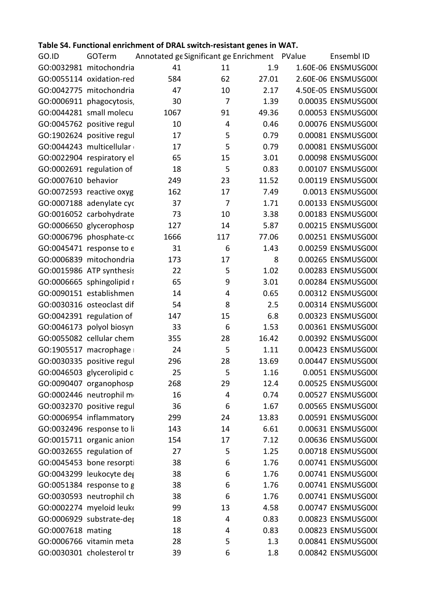| GO.ID GOTerm Annotated ge Significant ge Enrichment PValue Ensembl ID                                                                                                                                                                 |
|---------------------------------------------------------------------------------------------------------------------------------------------------------------------------------------------------------------------------------------|
| 41 11 1.9 1.60E-06 ENSMUSG000                                                                                                                                                                                                         |
| 62 27.01 2.60E-06 ENSMUSG00(<br>10 2.17 4.50E-05 ENSMUSG00(                                                                                                                                                                           |
|                                                                                                                                                                                                                                       |
| 1.39 0.00035 ENSMUSG00(                                                                                                                                                                                                               |
| 49.36   0.00053 ENSMUSG00(                                                                                                                                                                                                            |
| 0.46  0.00076 ENSMUSG00(                                                                                                                                                                                                              |
|                                                                                                                                                                                                                                       |
| 5 0.79 0.00081 ENSMUSG00(<br>5 0.79 0.00081 ENSMUSG00(                                                                                                                                                                                |
| 3.01  0.00098 ENSMUSG00(                                                                                                                                                                                                              |
| 5 0.83 0.00107 ENSMUSG00(<br>23 11.52 0.00119 ENSMUSG00(<br>17 7.49 0.0013 ENSMUSG00(<br>7 1.71 0.00133 ENSMUSG00(                                                                                                                    |
|                                                                                                                                                                                                                                       |
|                                                                                                                                                                                                                                       |
|                                                                                                                                                                                                                                       |
|                                                                                                                                                                                                                                       |
| 10 3.38 0.00183 ENSMUSG00(                                                                                                                                                                                                            |
|                                                                                                                                                                                                                                       |
| GO:0006650 glycerophosp $127$ 14 5.87 0.00215 ENSMUSG00(<br>GO:0006796 phosphate-cc 1666 117 77.06 0.00251 ENSMUSG00(<br>6 1.43 0.00259 ENSMUSG000                                                                                    |
| 8 0.00265 ENSMUSG00(                                                                                                                                                                                                                  |
| 5 1.02 0.00283 ENSMUSG000                                                                                                                                                                                                             |
| 3.01   0.00284 ENSMUSG000                                                                                                                                                                                                             |
| 4 0.65 0.00312 ENSMUSG000                                                                                                                                                                                                             |
| 2.5 0.00314 ENSMUSG00(                                                                                                                                                                                                                |
| 6.8 0.00323 ENSMUSG00(                                                                                                                                                                                                                |
|                                                                                                                                                                                                                                       |
|                                                                                                                                                                                                                                       |
| 6 1.53 0.00361 ENSMUSG00(<br>28 16.42 0.00392 ENSMUSG00(<br>5 1.11 0.00423 ENSMUSG00(                                                                                                                                                 |
| 13.69   0.00447 ENSMUSG000                                                                                                                                                                                                            |
|                                                                                                                                                                                                                                       |
|                                                                                                                                                                                                                                       |
|                                                                                                                                                                                                                                       |
|                                                                                                                                                                                                                                       |
|                                                                                                                                                                                                                                       |
|                                                                                                                                                                                                                                       |
|                                                                                                                                                                                                                                       |
|                                                                                                                                                                                                                                       |
|                                                                                                                                                                                                                                       |
|                                                                                                                                                                                                                                       |
| GO:0030335 positive regul 296 28 13.69 0.00447 ENSMUSG00<br>GO:0046503 glycerolipid c 25 5 1.16 0.0051 ENSMUSG00<br>GO:0064503 glycerolipid c 25 5 1.16 0.0051 ENSMUSG00<br>GO:0009447 organophosp 268 29 12.4 0.00525 ENSMUSG00<br>G |
|                                                                                                                                                                                                                                       |
|                                                                                                                                                                                                                                       |
|                                                                                                                                                                                                                                       |
|                                                                                                                                                                                                                                       |
|                                                                                                                                                                                                                                       |
|                                                                                                                                                                                                                                       |
|                                                                                                                                                                                                                                       |

## **Table S4. Functional enrichment of DRAL switch-resistant genes in WAT.**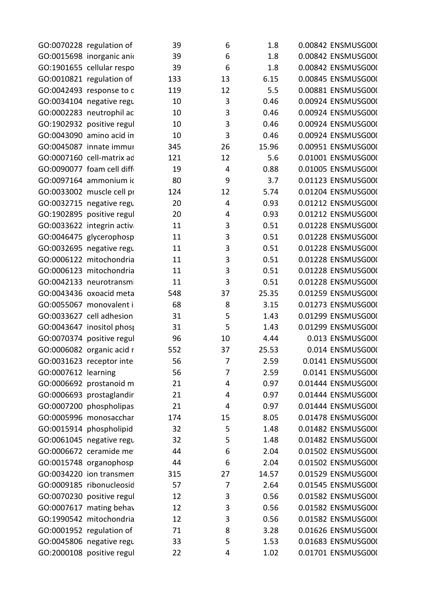| GO:0070228 regulation of                                                         | 1.8   0.00842   ENSMUSG000   |
|----------------------------------------------------------------------------------|------------------------------|
| GO:0015698 inorganic anid                                                        | 1.8   0.00842 ENSMUSG00(     |
| GO:1901655 cellular respo                                                        | 1.8   0.00842   ENSMUSG000   |
| GO:0010821 regulation of                                                         | 6.15   0.00845   ENSMUSG000  |
| GO:0042493 response to d<br>- 119                                                | 5.5   0.00881   ENSMUSG000   |
| GO:0034104 negative regu                                                         | 0.46   0.00924 ENSMUSG00(    |
| GO:0002283 neutrophil ac                                                         | 0.46   0.00924 ENSMUSG00(    |
| GO:1902932 positive regul                                                        | 0.46   0.00924 ENSMUSG00(    |
| GO:0043090 amino acid in                                                         | 0.46   0.00924 ENSMUSG00(    |
| GO:0045087 innate immur<br>- 26<br>345                                           | 15.96   0.00951   ENSMUSG00( |
| GO:0007160 cell-matrix ad<br>121<br>12                                           | 5.6  0.01001 ENSMUSG000      |
| GO:0090077 foam cell diff                                                        | 0.88   0.01005   ENSMUSG000  |
| GO:0097164 ammonium ic<br>- 9                                                    | 3.7 0.01123 ENSMUSG00(       |
| GO:0033002 muscle cell pr<br>- 124                                               | 5.74   0.01204 ENSMUSG000    |
|                                                                                  | 0.93   0.01212 ENSMUSG00(    |
| GO:0032715 negative regu                                                         |                              |
| GO:1902895 positive regul                                                        | 0.93   0.01212 ENSMUSG000    |
| GO:0033622 integrin activa                                                       | 0.51   0.01228 ENSMUSG000    |
| GO:0046475 glycerophosp                                                          | 0.51   0.01228 ENSMUSG000    |
| GO:0032695 negative regu                                                         | 0.51   0.01228 ENSMUSG000    |
| GO:0006122 mitochondria                                                          | 0.51   0.01228 ENSMUSG000    |
| GO:0006123 mitochondria                                                          | 0.51   0.01228 ENSMUSG00(    |
| GO:0042133 neurotransmi                                                          | 0.51   0.01228 ENSMUSG000    |
| GO:0043436 oxoacid meta<br>548                                                   | 25.35   0.01259   ENSMUSG000 |
| GO:0055067 monovalent i<br>- ხ8                                                  | 3.15   0.01273   ENSMUSG000  |
| GO:0033627 cell adhesion                                                         | 1.43   0.01299   ENSMUSG000  |
| GO:0043647 inositol phosp                                                        | 1.43   0.01299   ENSMUSG000  |
| GO:0070374 positive regul                                                        | 4.44 0.013 ENSMUSG000        |
| GO:0006082 organic acid r<br>37<br>552                                           | 25.53 0.014 ENSMUSG00(       |
| GO:0031623 receptor inte<br>56                                                   | 7 2.59 0.0141 ENSMUSG000     |
| GO:0007612 learning                                                              | 2.59   0.0141 ENSMUSG000     |
| GO:0006692 prostanoid m<br>$\overline{4}$                                        | 0.97   0.01444 ENSMUSG000    |
| GO:0006693 prostaglandir<br>$\overline{4}$                                       | 0.97   0.01444 ENSMUSG000    |
| $\overline{4}$                                                                   | 0.97   0.01444 ENSMUSG000    |
| GO:0007200 phospholipas                                                          |                              |
| GO:0005996 monosacchar<br>174                                                    | 8.05   0.01478   ENSMUSG000  |
| GO:0015914 phospholipid                                                          | 1.48   0.01482   ENSMUSG000  |
| GO:0061045 negative regu<br>GO:0006672 ceramide me<br>$\overline{\phantom{0}}$ 5 | 1.48   0.01482   ENSMUSG000  |
|                                                                                  | 2.04   0.01502   ENSMUSG000  |
| GO:0015748 organophosp<br>$6\overline{6}$                                        | 2.04  0.01502 ENSMUSG000     |
| GO:0034220 ion transmen<br>315                                                   | 14.57   0.01529   ENSMUSG000 |
| GO:0009185 ribonucleosid                                                         | 2.64  0.01545 ENSMUSG000     |
| GO:0070230 positive regul                                                        | 0.56   0.01582   ENSMUSG000  |
| GO:0007617 mating behav                                                          | 0.56   0.01582   ENSMUSG000  |
| GO:1990542 mitochondria<br>$\overline{\phantom{a}}$ 3                            | 0.56   0.01582   ENSMUSG000  |
| GO:0001952 regulation of                                                         | 3.28  0.01626 ENSMUSG000     |
| GO:0045806 negative regu                                                         | 1.53   0.01683   ENSMUSG000  |
|                                                                                  | 4 1.02 0.01701 ENSMUSG000    |
| GO:2000108 positive regul                                                        |                              |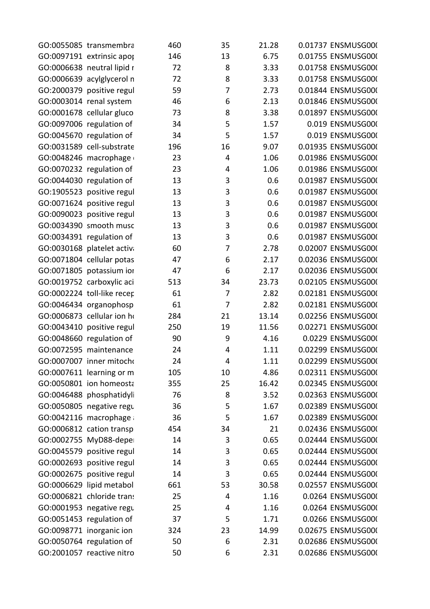| 35 21.28 0.01737 ENSMUSG00(<br>13 6.75 0.01755 ENSMUSG00(<br>3.33 0.01758 ENSMUSG00(                                                                                                                                                             |  |  |  |
|--------------------------------------------------------------------------------------------------------------------------------------------------------------------------------------------------------------------------------------------------|--|--|--|
|                                                                                                                                                                                                                                                  |  |  |  |
| 23<br>2.3 0.01758 ENSMUSGOOK<br>2.3 0.01758 ENSMUSGOOK<br>2.73 0.01844 ENSMUSGOOK<br>2.13 0.01846 ENSMUSGOOK<br>2.13 0.01846 ENSMUSGOOK<br>2.13 0.01846 ENSMUSGOOK<br>2.13 0.01897 ENSMUSGOOK<br>2.157 0.019 ENSMUSGOOK<br>2.157 0.019 ENSMUSGOO |  |  |  |
|                                                                                                                                                                                                                                                  |  |  |  |
|                                                                                                                                                                                                                                                  |  |  |  |
|                                                                                                                                                                                                                                                  |  |  |  |
|                                                                                                                                                                                                                                                  |  |  |  |
|                                                                                                                                                                                                                                                  |  |  |  |
|                                                                                                                                                                                                                                                  |  |  |  |
|                                                                                                                                                                                                                                                  |  |  |  |
|                                                                                                                                                                                                                                                  |  |  |  |
|                                                                                                                                                                                                                                                  |  |  |  |
|                                                                                                                                                                                                                                                  |  |  |  |
|                                                                                                                                                                                                                                                  |  |  |  |
|                                                                                                                                                                                                                                                  |  |  |  |
|                                                                                                                                                                                                                                                  |  |  |  |
|                                                                                                                                                                                                                                                  |  |  |  |
|                                                                                                                                                                                                                                                  |  |  |  |
|                                                                                                                                                                                                                                                  |  |  |  |
|                                                                                                                                                                                                                                                  |  |  |  |
|                                                                                                                                                                                                                                                  |  |  |  |
|                                                                                                                                                                                                                                                  |  |  |  |
|                                                                                                                                                                                                                                                  |  |  |  |
|                                                                                                                                                                                                                                                  |  |  |  |
|                                                                                                                                                                                                                                                  |  |  |  |
|                                                                                                                                                                                                                                                  |  |  |  |
|                                                                                                                                                                                                                                                  |  |  |  |
|                                                                                                                                                                                                                                                  |  |  |  |
|                                                                                                                                                                                                                                                  |  |  |  |
|                                                                                                                                                                                                                                                  |  |  |  |
|                                                                                                                                                                                                                                                  |  |  |  |
|                                                                                                                                                                                                                                                  |  |  |  |
|                                                                                                                                                                                                                                                  |  |  |  |
|                                                                                                                                                                                                                                                  |  |  |  |
|                                                                                                                                                                                                                                                  |  |  |  |
|                                                                                                                                                                                                                                                  |  |  |  |
|                                                                                                                                                                                                                                                  |  |  |  |
|                                                                                                                                                                                                                                                  |  |  |  |
|                                                                                                                                                                                                                                                  |  |  |  |
|                                                                                                                                                                                                                                                  |  |  |  |
|                                                                                                                                                                                                                                                  |  |  |  |
|                                                                                                                                                                                                                                                  |  |  |  |
|                                                                                                                                                                                                                                                  |  |  |  |
|                                                                                                                                                                                                                                                  |  |  |  |
|                                                                                                                                                                                                                                                  |  |  |  |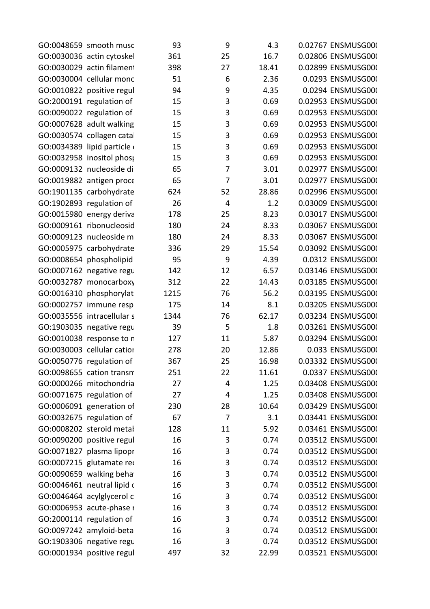| GO:0048659 smooth musc<br>GO:0030036 actin cytoskel<br>4.3 0.02767 ENSMUSG00(<br>16.7 0.02806 ENSMUSG00(                                                                                                                           |  |  |  |
|------------------------------------------------------------------------------------------------------------------------------------------------------------------------------------------------------------------------------------|--|--|--|
|                                                                                                                                                                                                                                    |  |  |  |
| 18.41  0.02899 ENSMUSG00(<br>GO:0030029 actin filament                                                                                                                                                                             |  |  |  |
| 6 2.36 0.0293 ENSMUSG000<br>9 4.35 0.0294 ENSMUSG000<br>3 0.69 0.02953 ENSMUSG000<br>3 0.69 0.02953 ENSMUSG000<br>GO:0030004 cellular monc<br>GO:0010822 positive regul<br>GO:2000191 regulation of<br>GO:0090022 regulation of    |  |  |  |
|                                                                                                                                                                                                                                    |  |  |  |
|                                                                                                                                                                                                                                    |  |  |  |
|                                                                                                                                                                                                                                    |  |  |  |
| 3 0.69 0.02953 ENSMUSG000<br>GO:0007628 adult walking                                                                                                                                                                              |  |  |  |
| GO:0030574 collagen cata<br>GO:0034389 lipid particle (and the state of the state of the state of the state of the state of the state of t<br>$15$ and the state of the state of the state of the state of the state of the state  |  |  |  |
|                                                                                                                                                                                                                                    |  |  |  |
| GO:0032958 inositol phost 15 15 3 0.69 0.02953 ENSMUSG000                                                                                                                                                                          |  |  |  |
| GO:0009132 nucleoside di<br>7 3.01 0.02977 ENSMUSG000                                                                                                                                                                              |  |  |  |
| GO:0019882 antigen proce<br>7 3.01 0.02977 ENSMUSG000                                                                                                                                                                              |  |  |  |
| 624 52 28.86 0.02996 ENSMUSG00(<br>26     4     1.2   0.03009 ENSMUSG00(                                                                                                                                                           |  |  |  |
| GO:1901135 carbohydrate<br>GO:1902893 regulation of<br>GO:0015980 energy deriva                                                                                                                                                    |  |  |  |
| 25 8.23 0.03017 ENSMUSG000<br>178                                                                                                                                                                                                  |  |  |  |
| GO:0009161 ribonucleosid<br>24 8.33 0.03067 ENSMUSG000<br>24 8.33 0.03067 ENSMUSG000<br>29 15.54 0.03092 ENSMUSG000<br>9 4.39 0.0312 ENSMUSG000<br>12 6.57 0.03146 ENSMUSG000                                                      |  |  |  |
|                                                                                                                                                                                                                                    |  |  |  |
| GO:0009123 nucleoside m<br>GO:0005975 carbohydrate<br>GO:0008654 phospholipid                                                                                                                                                      |  |  |  |
| GO:0007162 negative regu                                                                                                                                                                                                           |  |  |  |
|                                                                                                                                                                                                                                    |  |  |  |
|                                                                                                                                                                                                                                    |  |  |  |
|                                                                                                                                                                                                                                    |  |  |  |
| 22 14.43 0.03185 ENSMUSG000<br>76 56.2 0.03195 ENSMUSG000<br>14 8.1 0.03205 ENSMUSG000<br>76 62.17 0.03234 ENSMUSG000<br>GO:0032787 monocarboxy<br>GO:0016310 phosphorylat<br>GO:0002757 immune resp<br>GO:0035556 intracellular s |  |  |  |
| 5 1.8 0.03261 ENSMUSG000<br>GO:1903035 negative regu 39                                                                                                                                                                            |  |  |  |
|                                                                                                                                                                                                                                    |  |  |  |
| GO:0010038 response to n and the community of the community of the community of the community of the community<br>GO:0030003 cellular cation and the community of the community of the community of the community of the communi   |  |  |  |
| GO:0050776 regulation of 367 25 16.98 0.03332 ENSMUSG000                                                                                                                                                                           |  |  |  |
|                                                                                                                                                                                                                                    |  |  |  |
|                                                                                                                                                                                                                                    |  |  |  |
|                                                                                                                                                                                                                                    |  |  |  |
|                                                                                                                                                                                                                                    |  |  |  |
|                                                                                                                                                                                                                                    |  |  |  |
|                                                                                                                                                                                                                                    |  |  |  |
|                                                                                                                                                                                                                                    |  |  |  |
|                                                                                                                                                                                                                                    |  |  |  |
|                                                                                                                                                                                                                                    |  |  |  |
|                                                                                                                                                                                                                                    |  |  |  |
|                                                                                                                                                                                                                                    |  |  |  |
| GO:0098655 cation transmit<br>GO:0098655 cation transmit and the composite of the composite of CO:000266 mitchcom<br>GO:000266 mitchcom and the composite of Co.00022675 regulation of the composite of CO:00022675 regulation of  |  |  |  |
|                                                                                                                                                                                                                                    |  |  |  |
|                                                                                                                                                                                                                                    |  |  |  |
|                                                                                                                                                                                                                                    |  |  |  |
|                                                                                                                                                                                                                                    |  |  |  |
|                                                                                                                                                                                                                                    |  |  |  |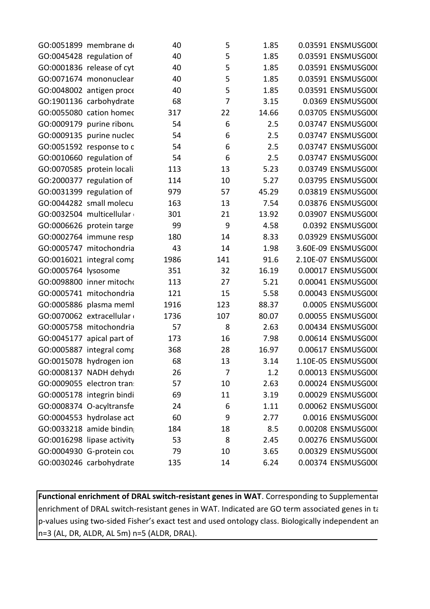| GO:0051899 membrane de<br>5 1.85 0.03591 ENSMUSG000                                                                                                                                                                                                                        |  |  |  |
|----------------------------------------------------------------------------------------------------------------------------------------------------------------------------------------------------------------------------------------------------------------------------|--|--|--|
| 1.85   0.03591   ENSMUSG00(<br>GO:0045428 regulation of<br>GO:0001836 release of cyt                                                                                                                                                                                       |  |  |  |
| 1.85   0.03591   ENSMUSG00(                                                                                                                                                                                                                                                |  |  |  |
| GO:0071674 mononuclear<br>1.85 0.03591 ENSMUSG000<br>1.85 0.03591 ENSMUSG000<br>3.15 0.0369 ENSMUSG000<br>14.66 0.03705 ENSMUSG000<br>2.5 0.03747 ENSMUSG000<br>2.5 0.03747 ENSMUSG000<br>2.5 0.03747 ENSMUSG000<br>2.5 0.03747 ENSMUSG000<br>2.5 0.03747 ENSMUSG000<br>5. |  |  |  |
| GO:0048002 antigen proce                                                                                                                                                                                                                                                   |  |  |  |
| GO:1901136 carbohydrate                                                                                                                                                                                                                                                    |  |  |  |
| GO:0055080 cation homed                                                                                                                                                                                                                                                    |  |  |  |
| GO:0009179 purine ribonu                                                                                                                                                                                                                                                   |  |  |  |
|                                                                                                                                                                                                                                                                            |  |  |  |
|                                                                                                                                                                                                                                                                            |  |  |  |
| GO:0009135 purine nucleos<br>GO:0051592 response to c<br>GO:0010660 regulation of<br>GO:0070585 protein locali<br>GO:2000377 regulation of                                                                                                                                 |  |  |  |
|                                                                                                                                                                                                                                                                            |  |  |  |
|                                                                                                                                                                                                                                                                            |  |  |  |
| GO:0031399 regulation of 979<br>GO:0044282 small molecu 163<br>57               45.29          0.03819 ENSMUSG00(<br>13                7.54         0.03876 ENSMUSG00(                                                                                                     |  |  |  |
|                                                                                                                                                                                                                                                                            |  |  |  |
| GO:0032504 multicellular<br>21 13.92 0.03907 ENSMUSG000<br>301                                                                                                                                                                                                             |  |  |  |
| GO:0006626 protein targe<br>4.58 0.0392 ENSMUSG00(                                                                                                                                                                                                                         |  |  |  |
| GO:0002764 immune resp<br>14 8.33 0.03929 ENSMUSG000<br>180                                                                                                                                                                                                                |  |  |  |
| GO:0005747 mitochondria $14$<br>GO:0016021 integral computations and the computations of the control of the control of the control of the control of the control of the control of the control of the control of the control of                                            |  |  |  |
|                                                                                                                                                                                                                                                                            |  |  |  |
|                                                                                                                                                                                                                                                                            |  |  |  |
| GO:0098800 inner mitocho                                                                                                                                                                                                                                                   |  |  |  |
|                                                                                                                                                                                                                                                                            |  |  |  |
| 27 5.21 0.00041 ENSMUSG000<br>15 5.58 0.00043 ENSMUSG000<br>123 88.37 0.0005 ENSMUSG000<br>107 80.07 0.00055 ENSMUSG000<br>8 2.63 0.00434 ENSMUSG000                                                                                                                       |  |  |  |
| GO:0005741 mitochondria 121<br>GO:0005886 plasma meml 1916<br>GO:0070062 extracellular 1736<br>GO:0005758 mitochondria 57                                                                                                                                                  |  |  |  |
|                                                                                                                                                                                                                                                                            |  |  |  |
| GO:0045177 apical part of<br>GO:0005887 integral comp                                                                                                                                                                                                                      |  |  |  |
|                                                                                                                                                                                                                                                                            |  |  |  |
| GO:0015078 hydrogen ion 68 13 3.14 1.10E-05 ENSMUSG000                                                                                                                                                                                                                     |  |  |  |
|                                                                                                                                                                                                                                                                            |  |  |  |
|                                                                                                                                                                                                                                                                            |  |  |  |
|                                                                                                                                                                                                                                                                            |  |  |  |
|                                                                                                                                                                                                                                                                            |  |  |  |
|                                                                                                                                                                                                                                                                            |  |  |  |
|                                                                                                                                                                                                                                                                            |  |  |  |
|                                                                                                                                                                                                                                                                            |  |  |  |
| GO:0008137 NADH dehydr<br>GO:0008137 NADH dehydr 26 7 1.2 0.00013 ENSMUSG000<br>GO:0009055 electron tran: 57 10 2.63 0.00024 ENSMUSG000<br>GO:000955 electron tran: 57 10 2.63 0.00024 ENSMUSG000<br>GO:0008374 O-acyltransfe 24 6 1.                                      |  |  |  |
|                                                                                                                                                                                                                                                                            |  |  |  |

**Functional enrichment of DRAL switch-resistant genes in WAT**. Corresponding to Supplementar enrichment of DRAL switch-resistant genes in WAT. Indicated are GO term associated genes in ta  $|$ p-values using two-sided Fisher's exact test and used ontology class. Biologically independent an n=3 (AL, DR, ALDR, AL 5m) n=5 (ALDR, DRAL).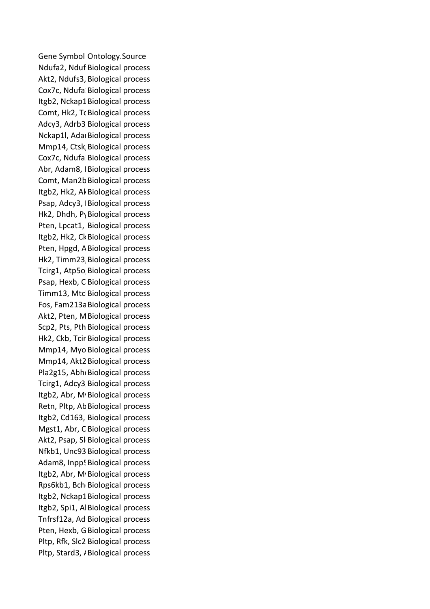Gene Symbol Ontology.Source Ndufa2, Nduf Biological process Akt2, Ndufs3, Biological process and a state of the state of the state of the state of the state of the state o Cox7c, Ndufa Biological process Itgb2, Nckap1 Biological process Comt, Hk2, T، Biological process and the company of the company of the company of the company of the company of the company of the company of the company of the company of the company of the company of the company of the c Adcy3, Adrb3 Biological process Nckap1l, Adai Biological process Mmp14, Ctsk Biological process Cox7c, Ndufa Biological process Abr, Adam8, IBiological process Comt, Man2b Biological process Itgb2, Hk2, Al Biological process Psap, Adcy3, | Biological process Hk2, Dhdh, PyBiological process Pten, Lpcat1, Biological process Itgb2, Hk2, Ck Biological process and the state of the state of the state of the state of the state of the state of the state of the state of the state of the state of the state of the state of the state of the state of th Pten, Hpgd, A Biological process Hk2, Timm23, Biological process Tcirg1, Atp5o Biological process Psap, Hexb, C Biological process Timm13, Mtc Biological process Fos, Fam213a Biological process Akt2, Pten, M Biological process Scp2, Pts, Pth Biological process Hk2, Ckb, Tcir Biological process Mmp14, Myo Biological process Mmp14, Akt2 Biological process Pla2g15, Abh Biological process Tcirg1, Adcy3 Biological process Itgb2, Abr, M Biological process Retn, Pltp, Ab Biological process Itgb2, Cd163, Biological process Mgst1, Abr, C Biological process Akt2, Psap, Sl Biological process Nfkb1, Unc93 Biological process Adam8, Inpp! Biological process Itgb2, Abr, M<sub>'</sub> Biological process Rps6kb1, Bch Biological process Itgb2, Nckap1 Biological process Itgb2, Spi1, Al Biological process Tnfrsf12a, Ad Biological process Pten, Hexb, G Biological process Pltp, Rfk, Slc2 Biological process Pltp, Stard3, / Biological process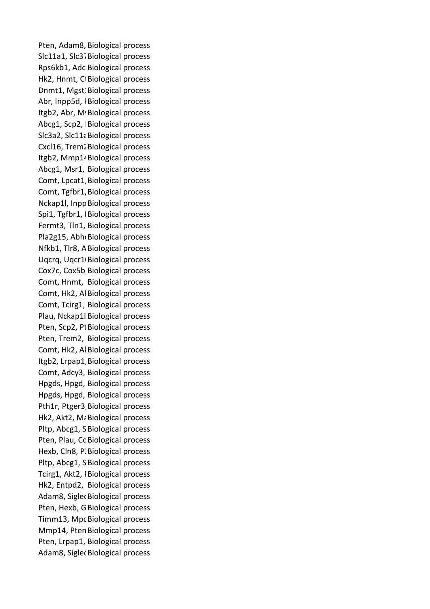Pten, Adam8, Biological process Slc11a1, Slc37 Biological process Rps6kb1, Adc Biological process Hk2, Hnmt, C Biological process Dnmt1, Mgst: Biological process Abr, Inpp5d, I Biological process Itgb2, Abr, M Biological process Abcg1, Scp2, Biological process Slc3a2, Slc11a Biological process Cxcl16, Trem. Biological process Itgb2, Mmp1<sup>,</sup> Biological process Abcg1, Msr1, Biological process Comt, Lpcat1, Biological process Comt, Tgfbr1, Biological process Nckap1l, Inpp Biological process Spi1, Tgfbr1, | Biological process Fermt3, Tln1, Biological process Pla2g15, Abh Biological process Nfkb1, Tlr8, A Biological process Uqcrq, Uqcr1<sup>D</sup> Biological process Cox7c, Cox5b Biological process Comt, Hnmt, Biological process Comt, Hk2, Al Biological process Comt, Tcirg1, Biological process Plau, Nckap1l Biological process Pten, Scp2, PI Biological process Pten, Trem2, Biological process Comt, Hk2, Al Biological process Itgb2, Lrpap1, Biological process Comt, Adcy3, Biological process Hpgds, Hpgd, Biological process Hpgds, Hpgd, Biological process Pth1r, Ptger3 Biological process Hk2, Akt2, Mi Biological process Pltp, Abcg1, S Biological process Pten, Plau, Cc Biological process Hexb, Cln8, P. Biological process Pltp, Abcg1, S Biological process Tcirg1, Akt2, IBiological process Hk2, Entpd2, Biological process Adam8, Siglet Biological process Pten, Hexb, G Biological process Timm13, Mpc Biological process Mmp14, Pten Biological process Pten, Lrpap1, Biological process Adam8, Siglet Biological process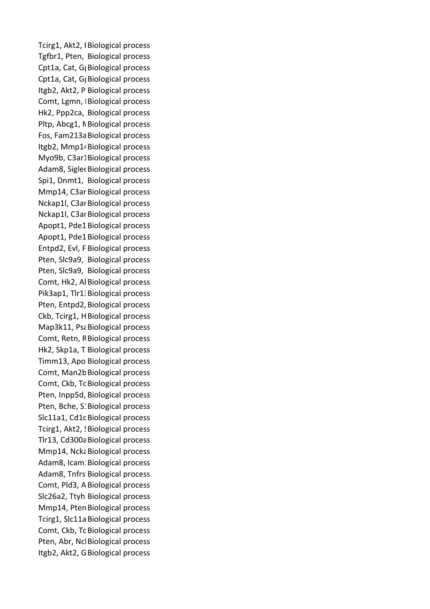Tcirg1, Akt2, IBiological process and the set of the set of the set of the set of the set of the set of the set of the set of the set of the set of the set of the set of the set of the set of the set of the set of the set Tgfbr1, Pten, Biological process Cpt1a, Cat, G<sub>|</sub> Biological process Cpt1a, Cat, G<sub>|</sub> Biological process Itgb2, Akt2, P Biological process Comt, Lgmn, | Biological process Hk2, Ppp2ca, Biological process Pltp, Abcg1, N Biological process Fos, Fam213a Biological process Itgb2, Mmp1<sup>,</sup> Biological process Myo9b, C3ar1Biological process Adam8, Siglet Biological process Spi1, Dnmt1, Biological process Mmp14, C3ar Biological process Nckap1l, C3ar Biological process Nckap1l, C3ar Biological process Apopt1, Pde1 Biological process Apopt1, Pde1 Biological process Entpd2, Evl, F Biological process Pten, Slc9a9, Biological process Pten, Slc9a9, Biological process Comt, Hk2, Al Biological process Pik3ap1, Tlr1: Biological process Pten, Entpd2, Biological process Ckb, Tcirg1, H Biological process Map3k11, Psa Biological process Comt, Retn, R Biological process Hk2, Skp1a, T Biological process Timm13, Apo Biological process Comt, Man2b Biological process Comt, Ckb, Tc Biological process Pten, Inpp5d, Biological process Pten, Bche, S. Biological process Slc11a1, Cd1c Biological process Tcirg1, Akt2, ! Biological process Tlr13, Cd300a Biological process Mmp14, Ncka Biological process Adam8, Icam: Biological process Adam8, Tnfrs Biological process Comt, Pld3, A Biological process and the state of the state of the state of the state of the state of the state of the state of the state of the state of the state of the state of the state of the state of the state of the Slc26a2, Ttyh Biological process Mmp14, Pten Biological process Tcirg1, Slc11a Biological process Comt, Ckb, Tc Biological process Pten, Abr, Nc Biological process Itgb2, Akt2, G Biological process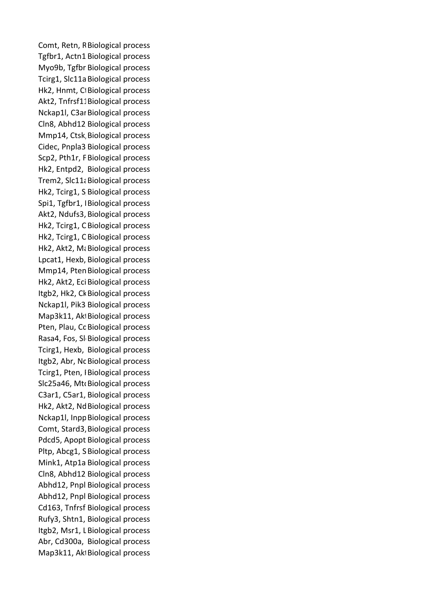Comt, Retn, R Biological process Tgfbr1, Actn1 Biological process Myo9b, Tgfbr Biological process Tcirg1, Slc11a Biological process Hk2, Hnmt, C Biological process Akt2, Tnfrsf1. Biological process Nckap1l, C3ar Biological process Cln8, Abhd12 Biological process Mmp14, Ctsk Biological process Cidec, Pnpla3 Biological process Scp2, Pth1r, F Biological process Hk2, Entpd2, Biological process Trem2, Slc11; Biological process Hk2, Tcirg1, S Biological process and the state of the state of the state of the state of the state of the state of the state of the state of the state of the state of the state of the state of the state of the state of th Spi1, Tgfbr1, | Biological process Akt2, Ndufs3, Biological process Hk2, Tcirg1, C Biological process Hk2, Tcirg1, C Biological process Hk2, Akt2, Mananagical process Lpcat1, Hexb, Biological process Mmp14, Pten Biological process Hk2, Akt2, Eci Biological process Itgb2, Hk2, Ck Biological process and the state of the state of the state of the state of the state of the state of the state of the state of the state of the state of the state of the state of the state of the state of th Nckap1l, Pik3 Biological process Map3k11, Ak Biological process experience of the state of the state of the state of the state of the state of the state of the state of the state of the state of the state of the state of the state of the state of the stat Pten, Plau, Cc Biological process Rasa4, Fos, Sl Biological process Tcirg1, Hexb, Biological process Itgb2, Abr, Nc Biological process Tcirg1, Pten, IBiological process Slc25a46, Mt Biological process C3ar1, C5ar1, Biological process Hk2, Akt2, Nd Biological process Nckap1l, Inpp Biological process Comt, Stard3, Biological process Pdcd5, Apopt Biological process Pltp, Abcg1, S Biological process Mink1, Atp1a Biological process Cln8, Abhd12 Biological process Abhd12, Pnpl Biological process Abhd12, Pnpl Biological process Cd163, Tnfrsf Biological process Rufy3, Shtn1, Biological process Itgb2, Msr1, L Biological process Abr, Cd300a, Biological process Map3k11, Ak Biological process